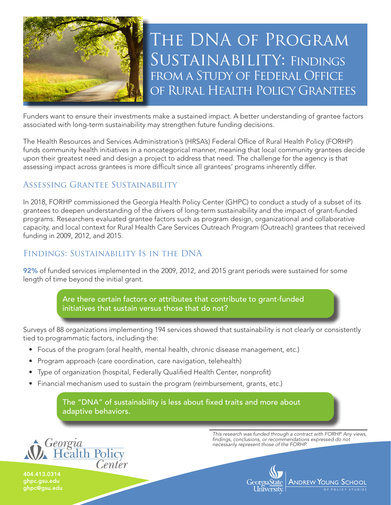

Funders want to ensure their investments make a sustained impact. A better understanding of grantee factors associated with long-term sustainability may strengthen future funding decisions.

The Health Resources and Services Administration's (HRSA's) Federal Office of Rural Health Policy (FORHP) funds community health initiatives in a noncategorical manner, meaning that local community grantees decide upon their greatest need and design a project to address that need. The challenge for the agency is that assessing impact across grantees is more difficult since all grantees' programs inherently differ.

#### Assessing Grantee Sustainability

In 2018, FORHP commissioned the Georgia Health Policy Center (GHPC) to conduct a study of a subset of its grantees to deepen understanding of the drivers of long-term sustainability and the impact of grant-funded programs. Researchers evaluated grantee factors such as program design, organizational and collaborative capacity, and local context for Rural Health Care Services Outreach Program (Outreach) grantees that received funding in 2009, 2012, and 2015.

#### Findings: Sustainability Is in the DNA

92% of funded services implemented in the 2009, 2012, and 2015 grant periods were sustained for some length of time beyond the initial grant.

> Are there certain factors or attributes that contribute to grant-funded initiatives that sustain versus those that do not?

Surveys of 88 organizations implementing 194 services showed that sustainability is not clearly or consistently tied to programmatic factors, including the:

- Focus of the program (oral health, mental health, chronic disease management, etc.)
- Program approach (care coordination, care navigation, telehealth)
- Type of organization (hospital, Federally Qualified Health Center, nonprofit)
- Financial mechanism used to sustain the program (reimbursement, grants, etc.)

The "DNA" of sustainability is less about fixed traits and more about adaptive behaviors.



*This research was funded through a contract with FORHP. Any views, findings, conclusions, or recommendations expressed do not necessarily represent those of the FORHP.*



404.413.0314 ghpc.gsu.edu ghpc@gsu.edu